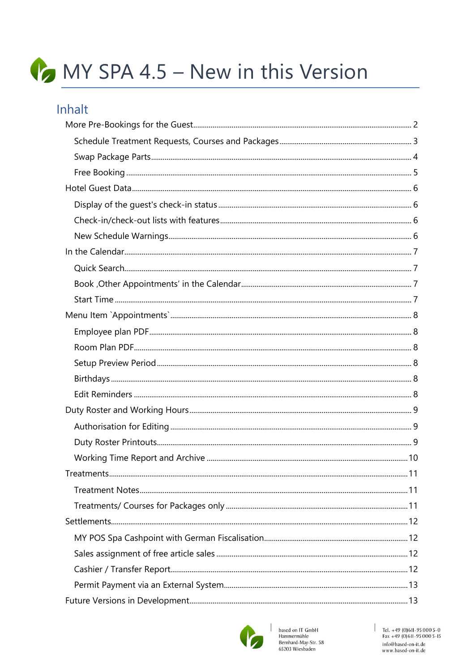# MY SPA 4.5 - New in this Version

#### Inhalt

| Treatments. | 11 |
|-------------|----|
|             |    |
|             |    |
|             |    |
|             |    |
|             |    |
|             |    |
|             |    |
|             |    |



 $\overline{\phantom{a}}$ 

based on IT GmbH<br>Hammermühle<br>Bernhard-May-Str. 58<br>65203 Wiesbaden

 $\begin{array}{r} \begin{array}{c} \end{array} \begin{array}{c} \text{Tel. +49 (0)611-95 000 5-0 \\ \text{Fax +49 (0)611-95 000 5-15} \end{array} \end{array}$ info@based-on-it.de www.based-on-it.de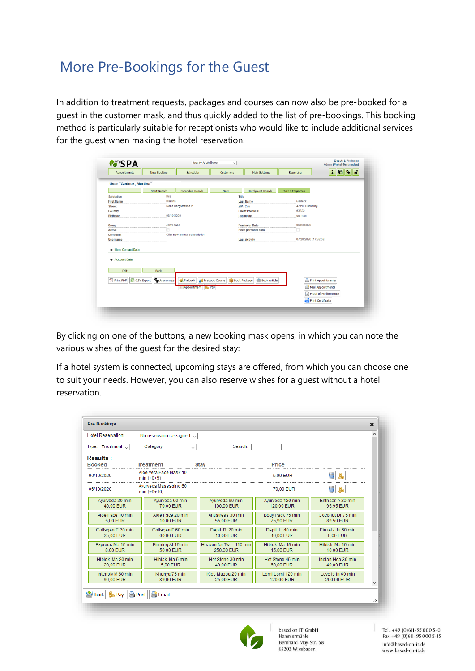# <span id="page-1-0"></span>More Pre-Bookings for the Guest

In addition to treatment requests, packages and courses can now also be pre-booked for a guest in the customer mask, and thus quickly added to the list of pre-bookings. This booking method is particularly suitable for receptionists who would like to include additional services for the guest when making the hotel reservation.

| Appointments                                                                 | New Booking              | Scheduler                                | Customers      | Main Settings             | Reporting       | $\mathbf{i}$<br>10 %<br><b>d</b>                                      |
|------------------------------------------------------------------------------|--------------------------|------------------------------------------|----------------|---------------------------|-----------------|-----------------------------------------------------------------------|
| User "Gedeck, Martina"                                                       |                          |                                          |                |                           |                 |                                                                       |
|                                                                              | <b>Start Search</b>      | <b>Extended Search</b>                   | <b>New</b>     | <b>Hotelguest Search</b>  | To be Forgotten |                                                                       |
| Salutation                                                                   | <b>Mrs</b>               |                                          |                | Title                     |                 |                                                                       |
| <b>First Name</b>                                                            | Martina                  |                                          |                | <b>Last Name</b>          | Gedeck          |                                                                       |
| <b>Street</b>                                                                |                          | Neue Bergstrasse 2                       |                | ZIP / City                | 47110 Hamburg   |                                                                       |
| Country                                                                      |                          |                                          |                | <b>Guest Profile ID</b>   | 63322           |                                                                       |
| <b>Birthday</b>                                                              | 06/10/2020               |                                          |                | Language                  | german          |                                                                       |
| Group                                                                        | Jahresabo                |                                          |                | <b>Reminder Date</b>      | 06/23/2020      |                                                                       |
| <b>Active</b>                                                                | ☑                        |                                          |                | <b>Keep personal data</b> |                 |                                                                       |
| Comment                                                                      |                          | Offer new annual subscription            |                |                           |                 |                                                                       |
| <b>Username</b>                                                              |                          |                                          |                | <b>Last Activity</b>      |                 | 07/28/2020 (17:38:58)                                                 |
| + More Contact Data<br>+ Account Data<br>Edit<br>Print PDF S CSV Export<br>閄 | <b>Back</b><br>Anonymize | Prebook                                  | Prebook Course | Book Package              | Book Article    | <b>Print Appointments</b>                                             |
|                                                                              |                          | Appointment<br><b>B</b> <sub>R</sub> Pay |                |                           |                 | Mail Appointments<br>Proof of Performance<br><b>Print Certificate</b> |

By clicking on one of the buttons, a new booking mask opens, in which you can note the various wishes of the guest for the desired stay:

If a hotel system is connected, upcoming stays are offered, from which you can choose one to suit your needs. However, you can also reserve wishes for a guest without a hotel reservation.

| Hotel Reservation:               | No reservation assigned $\smile$       |                                      |                                 |                                 |   |
|----------------------------------|----------------------------------------|--------------------------------------|---------------------------------|---------------------------------|---|
| Type: Treatment $\sim$           | Category:<br>$\checkmark$              | Search:                              |                                 |                                 |   |
| <b>Results:</b><br><b>Booked</b> | <b>Treatment</b>                       | <b>Stay</b>                          | Price                           |                                 |   |
| 06/10/2020                       | Aloe Vera Face Mask 10<br>$min (+0+5)$ |                                      | 5.00 EUR                        | $\Box$<br>島                     |   |
| 06/10/2020                       | Ayurveda Massaging 60<br>$min (+0+10)$ |                                      | 70.00 EUR                       | b.                              |   |
| Ayurveda 30 min<br>40.00 EUR     | Avurveda 60 min<br>70.00 EUR           | Avurveda 90 min<br>100.00 EUR        | Avurveda 120 min<br>120.00 EUR  | Enthaar, A 20 min<br>95.95 EUR  |   |
| Aloe Face 10 min<br>5.00 EUR     | Aloe Face 20 min<br>10.00 EUR          | Antistress 30 min<br>55.00 EUR       | Body Pack 75 min<br>75,90 EUR   | Coconut Dr 75 min<br>89,50 EUR  |   |
| Collagen E 20 min<br>25.00 EUR   | Collagen F 60 min<br>60.00 EUR         | Depil. B. 20 min<br>16.00 EUR        | Depil. L. 40 min<br>40.00 EUR   | Finzel - Ju 60 min<br>0.00 EUR  |   |
| Express Ma 15 min<br>8.00 EUR    | Firming AI 45 min<br>50.00 EUR         | Heaven for Tw  110 min<br>250,00 EUR | Hibisk Ma 15 min<br>15,00 EUR   | Hibisk Ma 10 min<br>10.00 EUR   |   |
| Hibisk, Ma 20 min.<br>20,00 EUR  | Hibisk, Ma 5 min<br>5.00 EUR           | Hot Stone 30 min<br>49,00 EUR        | Hot Stone 45 min<br>69,00 EUR   | Indian Hea 30 min<br>40,00 EUR  |   |
| Intensiv M 60 min                | Khanya 75 min<br>89.00 EUR             | Kids Massa 20 min<br>25.00 EUR       | Lomi Lomi 120 min<br>120.00 EUR | Love is in 60 min<br>200.00 EUR | ٧ |



based on IT GmbH Hammermühle Bernhard-May-Str. 58 65203 Wiesbaden

Tel. +49 (0) 6II-95 000 5-0<br>Fax +49 (0) 6II-95 000 5-15 info@based-on-it.de www.based-on-it.de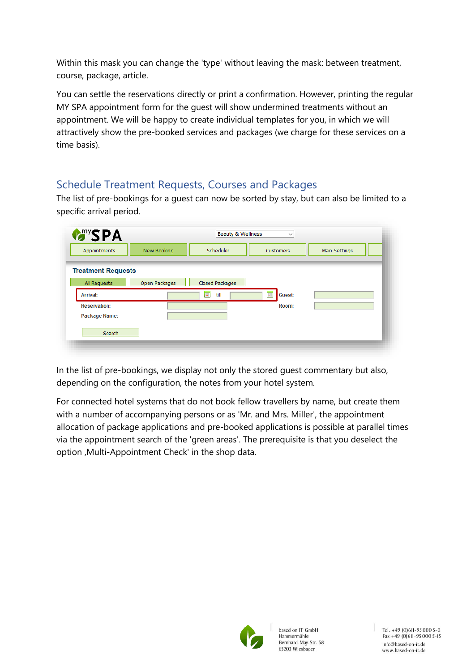Within this mask you can change the 'type' without leaving the mask: between treatment, course, package, article.

You can settle the reservations directly or print a confirmation. However, printing the regular MY SPA appointment form for the guest will show undermined treatments without an appointment. We will be happy to create individual templates for you, in which we will attractively show the pre-booked services and packages (we charge for these services on a time basis).

#### <span id="page-2-0"></span>Schedule Treatment Requests, Courses and Packages

The list of pre-bookings for a guest can now be sorted by stay, but can also be limited to a specific arrival period.

| Appointments              | New Booking   | Scheduler              | Customers                       | Main Settings |
|---------------------------|---------------|------------------------|---------------------------------|---------------|
| <b>Treatment Requests</b> |               |                        |                                 |               |
| All Requests              | Open Packages | Closed Packages        |                                 |               |
| <b>Arrival:</b>           |               | $\overline{u}$<br>till | $\blacksquare$<br><b>Guest:</b> |               |
| <b>Reservation:</b>       |               |                        | Room:                           |               |
| Package Name:             |               |                        |                                 |               |
| Search                    |               |                        |                                 |               |

In the list of pre-bookings, we display not only the stored guest commentary but also, depending on the configuration, the notes from your hotel system.

For connected hotel systems that do not book fellow travellers by name, but create them with a number of accompanying persons or as 'Mr. and Mrs. Miller', the appointment allocation of package applications and pre-booked applications is possible at parallel times via the appointment search of the 'green areas'. The prerequisite is that you deselect the option , Multi-Appointment Check' in the shop data.

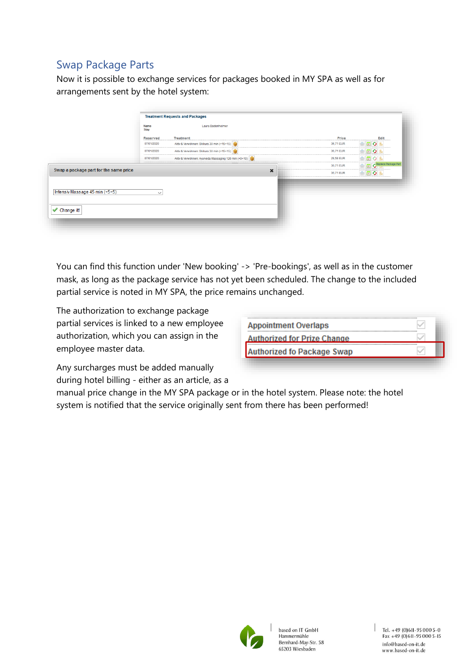#### <span id="page-3-0"></span>Swap Package Parts

Now it is possible to exchange services for packages booked in MY SPA as well as for arrangements sent by the hotel system:

|                                              | Name<br><b>Stay</b> | Laura Badenheimer                                     |           |                      |
|----------------------------------------------|---------------------|-------------------------------------------------------|-----------|----------------------|
|                                              | <b>Reserved</b>     | <b>Treatment</b>                                      | Price     | Edit                 |
|                                              | 07/01/2020          | Aktiv & Verwöhnen: Skikurs 30 min (+15+15)            | 35,71 EUR | 固り                   |
|                                              | 07/01/2020          | Aktiv & Verwöhnen: Skikurs 30 min (+15+15)            | 35,71 EUR | <b>EO</b>            |
|                                              | 07/01/2020          | Aktiv & Verwöhnen: Ayurveda Massaging 120 min (+0+10) | 28,58 EUR | 回り馬                  |
|                                              |                     |                                                       | 35,71 EUR | Replace Package Part |
| Swap a package part for the same price       |                     | $\pmb{\times}$                                        | 35,71 EUR | 固り                   |
| Intensiv Massage 45 min (+5+5)<br>Change it! | $\checkmark$        |                                                       |           |                      |

You can find this function under 'New booking' -> 'Pre-bookings', as well as in the customer mask, as long as the package service has not yet been scheduled. The change to the included partial service is noted in MY SPA, the price remains unchanged.

The authorization to exchange package partial services is linked to a new employee authorization, which you can assign in the employee master data.

| <b>Appointment Overlaps</b>        |  |
|------------------------------------|--|
| <b>Authorized for Prize Change</b> |  |
| <b>Authorized fo Package Swap</b>  |  |

Any surcharges must be added manually during hotel billing - either as an article, as a

manual price change in the MY SPA package or in the hotel system. Please note: the hotel system is notified that the service originally sent from there has been performed!

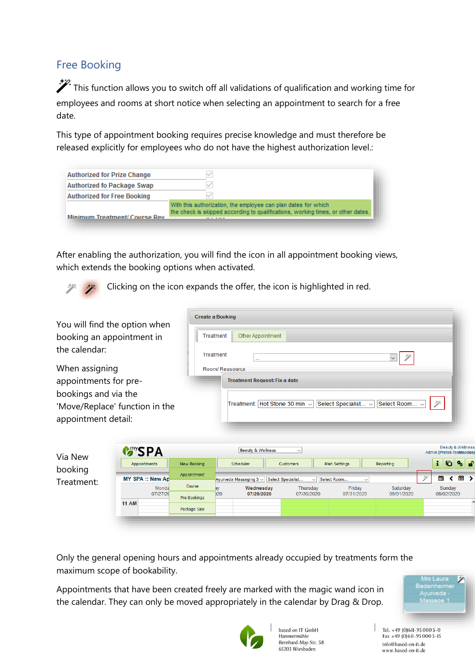#### <span id="page-4-0"></span>Free Booking

 $\mathcal{F}$  This function allows you to switch off all validations of qualification and working time for employees and rooms at short notice when selecting an appointment to search for a free date.

This type of appointment booking requires precise knowledge and must therefore be released explicitly for employees who do not have the highest authorization level.:

| <b>Authorized for Prize Change</b> |                                                                                                                                                                          |
|------------------------------------|--------------------------------------------------------------------------------------------------------------------------------------------------------------------------|
| <b>Authorized fo Package Swap</b>  |                                                                                                                                                                          |
| <b>Authorized for Free Booking</b> |                                                                                                                                                                          |
| Minimum Treatment/Course Rev       | With this authorization, the employee can plan dates for which<br>the check is skipped according to qualifications, working times, or other dates.<br><b>APRIL APRIL</b> |

After enabling the authorization, you will find the icon in all appointment booking views, which extends the booking options when activated.

Clicking on the icon expands the offer, the icon is highlighted in red.

| You will find the option when  |                        | <b>Create a Booking</b>      |                                            |                               |                                    |                        |                                                          |
|--------------------------------|------------------------|------------------------------|--------------------------------------------|-------------------------------|------------------------------------|------------------------|----------------------------------------------------------|
| booking an appointment in      |                        | Treatment                    | Other Appointment                          |                               |                                    |                        |                                                          |
| the calendar:                  |                        | Treatment                    | $\cdots$                                   |                               |                                    | $\checkmark$           |                                                          |
| When assigning                 |                        |                              | Room/Ressource                             |                               |                                    |                        |                                                          |
| appointments for pre-          |                        |                              | <b>Treatment Request: Fix a date</b>       |                               |                                    |                        |                                                          |
| bookings and via the           |                        |                              |                                            |                               |                                    |                        |                                                          |
| 'Move/Replace' function in the |                        |                              |                                            | Treatment: Hot Stone 30 min v | Select Specialist v                | Select Room v          | 契                                                        |
| appointment detail:            |                        |                              |                                            |                               |                                    |                        |                                                          |
|                                |                        |                              |                                            |                               |                                    |                        |                                                          |
| Via New                        | <b>MANYSPA</b>         |                              | <b>Beauty &amp; Wellness</b>               | $\checkmark$                  |                                    |                        | <b>Beauty &amp; Wellness</b><br>Admin (Protel-Testmodus) |
| booking                        | Appointments           | New Booking                  | Scheduler                                  | Customers                     | <b>Main Settings</b>               | Reporting              | $ G $ % $f$<br>i.                                        |
| Treatment:                     | <b>MY SPA:: New Ap</b> | Appointment                  | Ayurveda Massaging 3 v   Select Specialist |                               | $\vee$ Select Room<br>$\checkmark$ |                        | $\frac{20}{31}$ ><br>雦                                   |
|                                | Monda<br>07/27/20      | Course                       | Wednesday<br>020<br>07/29/2020             | Thursday<br>07/30/2020        | Friday<br>07/31/2020               | Saturday<br>08/01/2020 | Sunday<br>08/02/2020                                     |
|                                | <b>11 AM</b>           | Pre-Bookings<br>Package Sale |                                            |                               |                                    |                        | A                                                        |
|                                |                        |                              |                                            |                               |                                    |                        |                                                          |

Only the general opening hours and appointments already occupied by treatments form the maximum scope of bookability.

Appointments that have been created freely are marked with the magic wand icon in the calendar. They can only be moved appropriately in the calendar by Drag & Drop.





based on IT GmbH Hammermühle Bernhard-May-Str. 58 65203 Wiesbaden

Tel. +49 (0)611-95 000 5-0<br>Fax +49 (0)611-95 000 5-15 info@based-on-it.de www.based-on-it.de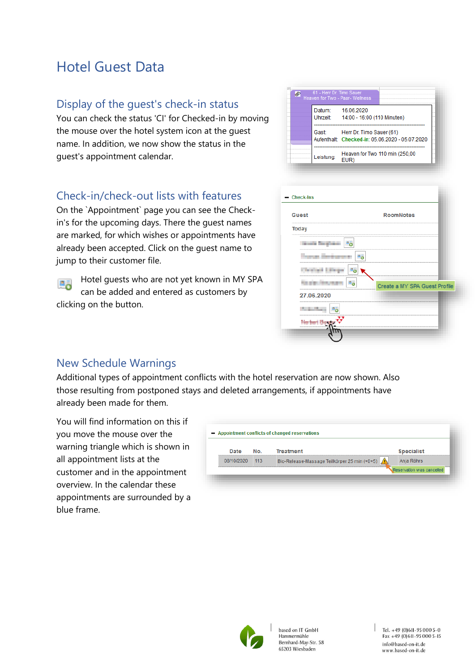# <span id="page-5-0"></span>Hotel Guest Data

#### <span id="page-5-1"></span>Display of the guest's check-in status

You can check the status 'CI' for Checked-in by moving the mouse over the hotel system icon at the guest name. In addition, we now show the status in the guest's appointment calendar.

#### <span id="page-5-2"></span>Check-in/check-out lists with features

On the `Appointment` page you can see the Checkin's for the upcoming days. There the guest names are marked, for which wishes or appointments have already been accepted. Click on the guest name to jump to their customer file.

Hotel guests who are not yet known in MY SPA 四毒 can be added and entered as customers by clicking on the button.

| 61 - Herr Dr. Timo Sauer<br>Heaven for Two - Paar- Wellness |                                                                             |
|-------------------------------------------------------------|-----------------------------------------------------------------------------|
| Datum:<br>Uhrzeit:                                          | 16.06.2020<br>14:00 - 16:00 (110 Minuten)                                   |
| Gast                                                        | Herr Dr. Timo Sauer (61)<br>Aufenthalt: Checked-in: 05.06.2020 - 05.07.2020 |
| Leistung:                                                   | Heaven for Two 110 min (250,00<br>EUR)                                      |

| <b>Check-Ins</b><br>- |                               |
|-----------------------|-------------------------------|
| <b>Guest</b>          | <b>RoomNotes</b>              |
| <br><b>Today</b>      |                               |
|                       |                               |
|                       |                               |
|                       |                               |
|                       | Create a MY SPA Guest Profile |
| 27.06.2020            |                               |
|                       |                               |
|                       |                               |
|                       |                               |

#### <span id="page-5-3"></span>New Schedule Warnings

Additional types of appointment conflicts with the hotel reservation are now shown. Also those resulting from postponed stays and deleted arrangements, if appointments have already been made for them.

You will find information on this if you move the mouse over the warning triangle which is shown in all appointment lists at the customer and in the appointment overview. In the calendar these appointments are surrounded by a blue frame.

|            | No.    | <b>Treatment</b>                             | <b>Specialist</b>         |
|------------|--------|----------------------------------------------|---------------------------|
| 08/10/2020 | $-113$ | Bio-Release-Massage Teilkörper 25 min (+0+5) | Anja Röhrs                |
|            |        |                                              | Reservation was cancelled |



based on IT GmbH Hammermühle Bernhard-May-Str. 58 65203 Wiesbaden

Tel. +49 (0)611-95 000 5-0  $Fax + 49(0)611 - 950005 - 15$ info@based-on-it.de www.based-on-it.de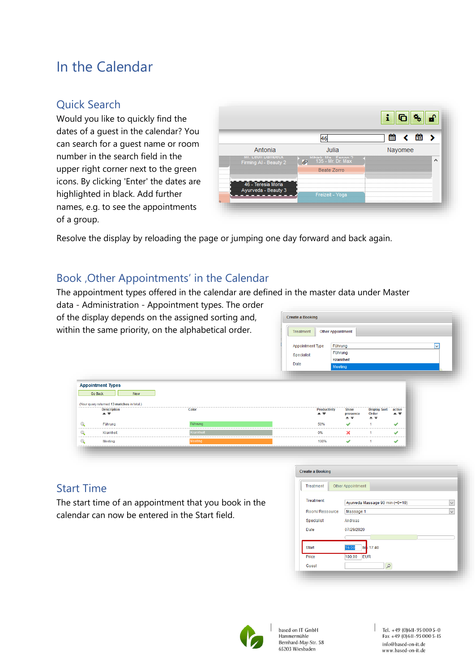## <span id="page-6-0"></span>In the Calendar

#### <span id="page-6-1"></span>Quick Search

Would you like to quickly find the dates of a guest in the calendar? You can search for a guest name or room number in the search field in the upper right corner next to the green icons. By clicking 'Enter' the dates are highlighted in black. Add further names, e.g. to see the appointments of a group.



Resolve the display by reloading the page or jumping one day forward and back again.

#### <span id="page-6-2"></span>Book , Other Appointments' in the Calendar

The appointment types offered in the calendar are defined in the master data under Master

data - Administration - Appointment types. The order of the display depends on the assigned sorting and, within the same priority, on the alphabetical order.

| <b>Treatment</b> | Other Appointment       |
|------------------|-------------------------|
|                  |                         |
| Appointment Type | Führung<br>$\checkmark$ |
| Specialist       | Führung                 |
|                  | Krankheit               |
| Date             | Meeting                 |

|         | <b>Appointment Types</b>                                         |                |                                     |                                                 |                            |               |
|---------|------------------------------------------------------------------|----------------|-------------------------------------|-------------------------------------------------|----------------------------|---------------|
| Go Back | <b>New</b>                                                       |                |                                     |                                                 |                            |               |
|         |                                                                  |                |                                     |                                                 |                            |               |
|         | (Your query returned 13 matches in total.)<br><b>Description</b> | Color          | <b>Productivity</b>                 | <b>Show</b>                                     | <b>Display Sort active</b> |               |
|         | $\triangle$ $\overline{\mathbf{v}}$                              |                | $\triangle$ $\overline{\mathbf{v}}$ | presence<br>$\triangle$ $\overline{\mathbf{v}}$ | Order<br>▲▼                | ▲▼            |
|         | Führung                                                          | <b>Führung</b> | 50%                                 | s                                               |                            | ৶             |
|         | Krankheit                                                        | Krankheit      | 0%                                  | ×                                               |                            | s             |
|         | Meeting                                                          | Meeting        | 100%                                | A                                               |                            | $\mathscr{A}$ |

#### <span id="page-6-3"></span>Start Time

The start time of an appointment that you book in the calendar can now be entered in the Start field.

| <b>Treatment</b> | Other Appointment                               |
|------------------|-------------------------------------------------|
| <b>Treatment</b> | Ayurveda Massage 90 min (+0+10)<br>$\checkmark$ |
| Room/Ressource   | Massage 1<br>$\checkmark$                       |
| Specialist       | Andreas                                         |
| Date             | 07/29/2020                                      |
|                  |                                                 |
| Start            | 16:00<br>bis 17:40                              |
| Price            | 100,00<br><b>EUR</b>                            |
| Guest            |                                                 |



based on IT GmbH Hammermühle Bernhard-May-Str. 58 65203 Wiesbaden

Tel. +49 (0)611-95 000 5-0<br>Fax +49 (0)611-95 000 5-15 info@based-on-it.de www.based-on-it.de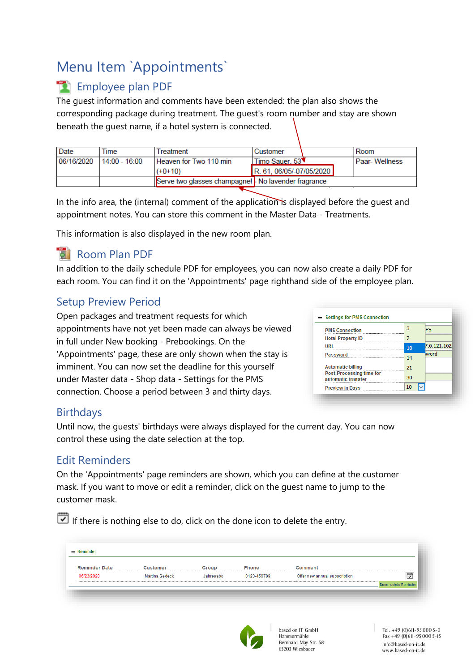# <span id="page-7-0"></span>Menu Item `Appointments`

### <span id="page-7-1"></span>**Employee plan PDF**

The guest information and comments have been extended: the plan also shows the corresponding package during treatment. The guest's room number and stay are shown beneath the guest name, if a hotel system is connected.

| Date       | Time            | Treatment                                          | Customer                 | Room                 |
|------------|-----------------|----------------------------------------------------|--------------------------|----------------------|
| 06/16/2020 | $14.00 - 16.00$ | Heaven for Two 110 min                             | Timo Sauer, 53           | <b>Paar-Wellness</b> |
|            |                 | $(+0+10)$                                          | R. 61, 06/05/-07/05/2020 |                      |
|            |                 | Serve two glasses champagne! No lavender fragrance |                          |                      |

In the info area, the (internal) comment of the application is displayed before the quest and appointment notes. You can store this comment in the Master Data - Treatments.

This information is also displayed in the new room plan.

#### <span id="page-7-2"></span>Room Plan PDF

In addition to the daily schedule PDF for employees, you can now also create a daily PDF for each room. You can find it on the 'Appointments' page righthand side of the employee plan.

#### <span id="page-7-3"></span>Setup Preview Period

Open packages and treatment requests for which appointments have not yet been made can always be viewed in full under New booking - Prebookings. On the 'Appointments' page, these are only shown when the stay is imminent. You can now set the deadline for this yourself under Master data - Shop data - Settings for the PMS connection. Choose a period between 3 and thirty days.

| <b>PMS Connection</b>                                 | З  | PS          |
|-------------------------------------------------------|----|-------------|
| <b>Hotel Property ID</b>                              |    |             |
|                                                       | 10 | 7.6.121.162 |
| Password                                              | 14 | word        |
| <b>Automatic billing</b>                              | 21 |             |
| <b>Post-Processing time for</b><br>automatic transfer | 30 |             |
| <b>Preview in Days</b>                                | 10 |             |

#### <span id="page-7-4"></span>**Birthdays**

Until now, the guests' birthdays were always displayed for the current day. You can now control these using the date selection at the top.

#### <span id="page-7-5"></span>Edit Reminders

On the 'Appointments' page reminders are shown, which you can define at the customer mask. If you want to move or edit a reminder, click on the guest name to jump to the customer mask.

If there is nothing else to do, click on the done icon to delete the entry.

| <b>Reminder Date</b> | Customer              | Group     | Phone       | Comment                       |                         |
|----------------------|-----------------------|-----------|-------------|-------------------------------|-------------------------|
| 06/23/2020           | <b>Martina Gedeck</b> | Jahresabo | 0123-456789 | Offer new annual subscription | $\overline{\mathbf{C}}$ |



based on IT GmbH Hammermühle Bernhard-May-Str. 58 65203 Wiesbaden

 $|$  Tel. +49 (0) 611 - 95 000 5 - 0  $Fax + 49(0)611 - 950005 - 15$ info@based-on-it.de www.based-on-it.de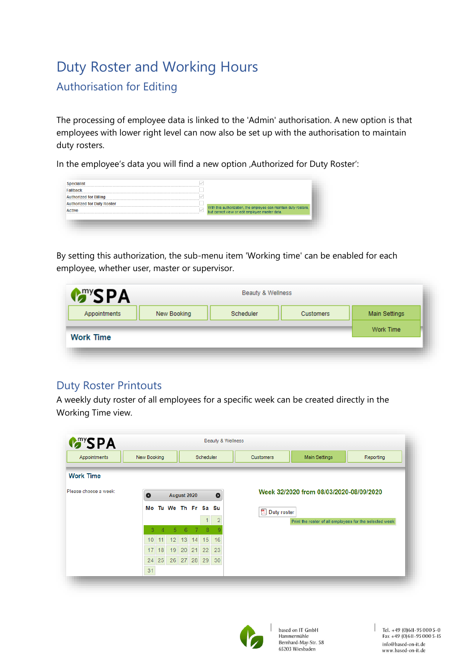# <span id="page-8-0"></span>Duty Roster and Working Hours

#### <span id="page-8-1"></span>Authorisation for Editing

The processing of employee data is linked to the 'Admin' authorisation. A new option is that employees with lower right level can now also be set up with the authorisation to maintain duty rosters.

In the employee's data you will find a new option , Authorized for Duty Roster':

| Fallhack                          |                                                                                                                |
|-----------------------------------|----------------------------------------------------------------------------------------------------------------|
| <b>Authorized for Billing</b>     |                                                                                                                |
| <b>Authorized for Duty Roster</b> |                                                                                                                |
|                                   | With this authorization, the employee can maintain duty rosters, but cannot view or edit employee master data. |

By setting this authorization, the sub-menu item 'Working time' can be enabled for each employee, whether user, master or supervisor.

| <b>PA</b>    |             | Beauty & Wellness |           |                      |
|--------------|-------------|-------------------|-----------|----------------------|
| Appointments | New Booking | Scheduler         | Customers | <b>Main Settings</b> |
|              |             |                   |           | Work Time            |

#### <span id="page-8-2"></span>Duty Roster Printouts

A weekly duty roster of all employees for a specific week can be created directly in the Working Time view.

| Appointments          | New Booking     |          |                |             |    | Scheduler         |                | <b>Main Settings</b><br>Reporting<br><b>Customers</b>   |
|-----------------------|-----------------|----------|----------------|-------------|----|-------------------|----------------|---------------------------------------------------------|
| <b>Work Time</b>      |                 |          |                |             |    |                   |                |                                                         |
| Please choose a week: | $\bullet$       |          |                | August 2020 |    |                   | $\bullet$      | Week 32/2020 from 08/03/2020-08/09/2020                 |
|                       | Мо              |          |                |             |    | Tu We Th Fr Sa Su |                | Duty roster                                             |
|                       |                 |          |                |             |    |                   | $\overline{2}$ | Print the roster of all employees for the selected week |
|                       | 3               | $\Delta$ | 5 <sup>5</sup> | 6           | -7 | 8                 | 9              |                                                         |
|                       | 10 <sup>1</sup> | 11       | 12             | 13          | 14 | 15                | 16             |                                                         |
|                       | 17              | 18       | 19             | 20          | 21 | 22                | 23             |                                                         |
|                       | 24              | 25       |                |             |    | 26 27 28 29       | 30             |                                                         |
|                       | 31              |          |                |             |    |                   |                |                                                         |

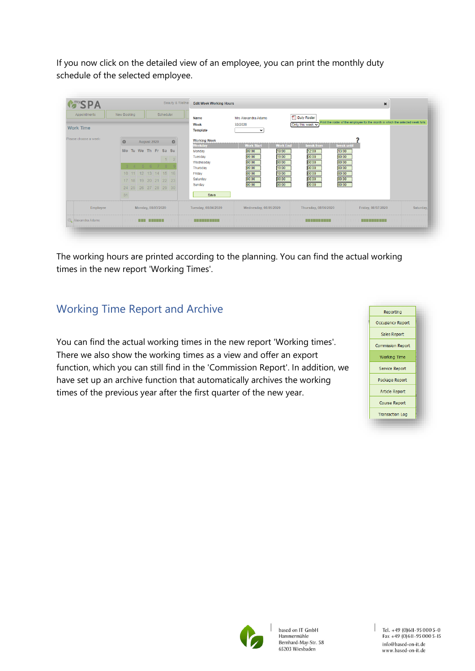If you now click on the detailed view of an employee, you can print the monthly duty schedule of the selected employee.

| Appointments<br><b>Work Time</b> | New Booking<br>Scheduler                                                                                                                                           | Name<br>Week<br><b>Template</b>                                                                                                                   | Mrs Alexandra Adams<br>32/2020<br>$\check{ }$                                                                                                                      | <b>ス</b> Duty Roster<br>Only this week v                                                                                                                | Print the roster of the employee for the month in which the selected week falls. |           |
|----------------------------------|--------------------------------------------------------------------------------------------------------------------------------------------------------------------|---------------------------------------------------------------------------------------------------------------------------------------------------|--------------------------------------------------------------------------------------------------------------------------------------------------------------------|---------------------------------------------------------------------------------------------------------------------------------------------------------|----------------------------------------------------------------------------------|-----------|
| Please choose a week:            | $\circ$<br>August 2020<br>Tu We Th Fr Sa Su<br><b>Mo</b><br>$\vert$ 1<br>3 4 5 6 7 8<br>10 11 12 13 14 15 16<br>17 18 19 20 21 22 23<br>24 25 26 27 28 29 30<br>31 | <b>Working Week</b><br>$\circ$<br>Weekday<br>Monday<br>Tuesday<br>$\overline{2}$<br>Wednesday<br>Thursday<br>Friday<br>Saturday<br>Sunday<br>Save | <b>Work Start</b><br><b>Work End</b><br>09:00<br>19:00<br>19:00<br>09:00<br>00:00<br>00:00<br>09:00<br>19:00<br>09:00<br>19:00<br>00:00<br>00:00<br>00:00<br>00:00 | break from<br>break until<br>12:00<br>13:00<br>00:00<br>00:00<br>00:00<br>00:00<br>00:00<br>00:00<br>00:00<br>00:00<br>00:00<br>00:00<br>00:00<br>00:00 |                                                                                  |           |
| Employee                         | Monday, 08/03/2020                                                                                                                                                 | Tuesday, 08/04/2020                                                                                                                               | Wednesday, 08/05/2020                                                                                                                                              | Thursday, 08/06/2020                                                                                                                                    | Friday, 08/07/2020                                                               | Saturday, |
| Alexandra Adams                  | <b>THE BENERAL</b>                                                                                                                                                 | <b>THE REAL PROPERTY</b>                                                                                                                          | .                                                                                                                                                                  | <b>STERN FROM A</b>                                                                                                                                     | <b>THE REAL PROPERTY</b>                                                         |           |

The working hours are printed according to the planning. You can find the actual working times in the new report 'Working Times'.

#### <span id="page-9-0"></span>Working Time Report and Archive

You can find the actual working times in the new report 'Working times'. There we also show the working times as a view and offer an export function, which you can still find in the 'Commission Report'. In addition, we have set up an archive function that automatically archives the working times of the previous year after the first quarter of the new year.



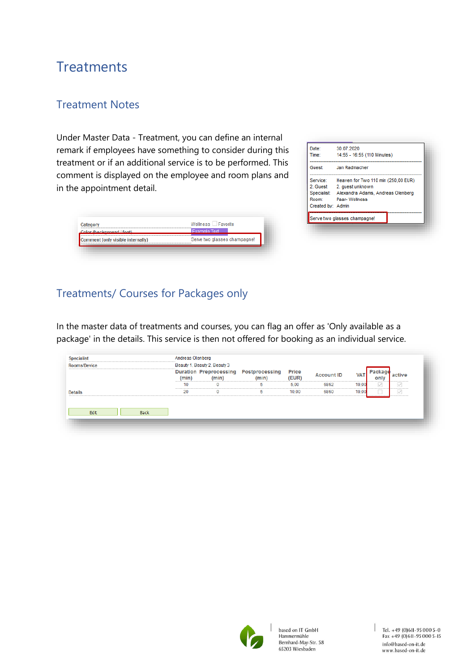## <span id="page-10-0"></span>**Treatments**

#### <span id="page-10-1"></span>Treatment Notes

Under Master Data - Treatment, you can define an internal remark if employees have something to consider during this treatment or if an additional service is to be performed. This comment is displayed on the employee and room plans and in the appointment detail.

| Color (background / font)         | Evample Text                 |
|-----------------------------------|------------------------------|
| Comment (only visible internally) | Serve two glasses champagne! |

| Date:             | 30.07.2020                                    |
|-------------------|-----------------------------------------------|
| Time:             | 14:55 - 16:55 (110 Minutes)                   |
| Guest:            | Jan Radmacher                                 |
| Service:          | Heaven for Two 110 min (250,00 EUR)           |
| 2. Guest          | 2. quest unknown                              |
| Room:             | Specialist: Alexandra Adams, Andreas Olenberg |
| Created by: Admin | Paar-Wellness                                 |
|                   | Serve two glasses champagne!                  |

#### <span id="page-10-2"></span>Treatments/ Courses for Packages only

In the master data of treatments and courses, you can flag an offer as 'Only available as a package' in the details. This service is then not offered for booking as an individual service.

| Rooms/Device   | Beauty 1, Beauty 2, Beauty 3 |          |                                                |                |                   |            |                    |        |
|----------------|------------------------------|----------|------------------------------------------------|----------------|-------------------|------------|--------------------|--------|
|                |                              |          |                                                |                |                   |            |                    |        |
|                | (min)                        | (min)    | Duration Preprocessing Postprocessing<br>(min) | Price<br>(EUR) | <b>Account ID</b> | <b>VAT</b> | Раскас<br>only<br> | active |
|                | 10                           | 0        | 5                                              | 5.00           | 6862              | 19.00      |                    |        |
| <b>Details</b> | 20                           | $\Omega$ | 5                                              | 10.00          | 6860              | 19.00      |                    |        |

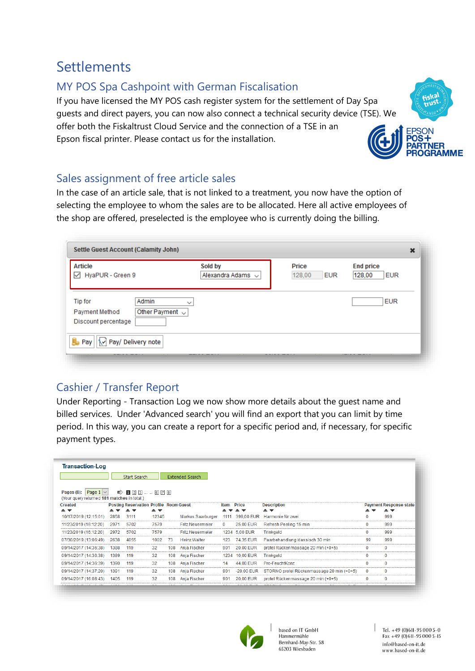## <span id="page-11-0"></span>Settlements

#### <span id="page-11-1"></span>MY POS Spa Cashpoint with German Fiscalisation

If you have licensed the MY POS cash register system for the settlement of Day Spa guests and direct payers, you can now also connect a technical security device (TSE). We offer both the Fiskaltrust Cloud Service and the connection of a TSE in an Epson fiscal printer. Please contact us for the installation.



#### <span id="page-11-2"></span>Sales assignment of free article sales

In the case of an article sale, that is not linked to a treatment, you now have the option of selecting the employee to whom the sales are to be allocated. Here all active employees of the shop are offered, preselected is the employee who is currently doing the billing.

| Article<br>HyaPUR - Green 9<br>$\checkmark$                                                             | Sold by<br>Alexandra Adams $\sim$ | Price<br>128,00<br><b>EUR</b> | <b>End price</b><br>128,00<br><b>EUR</b> |
|---------------------------------------------------------------------------------------------------------|-----------------------------------|-------------------------------|------------------------------------------|
| Admin<br><b>Tip for</b><br>$\check{ }$<br>Other Payment $\sim$<br>Payment Method<br>Discount percentage |                                   |                               | <b>EUR</b>                               |
| l.<br>Pay/ Delivery note<br>Pay                                                                         |                                   |                               |                                          |

#### <span id="page-11-3"></span>Cashier / Transfer Report

Under Reporting - Transaction Log we now show more details about the guest name and billed services. Under 'Advanced search' you will find an export that you can limit by time period. In this way, you can create a report for a specific period and, if necessary, for specific payment types.

| <b>Transaction-Log</b>                                                        |      |                                                                        |                                     |     |                         |      |                                                     |                                           |          |                                                |
|-------------------------------------------------------------------------------|------|------------------------------------------------------------------------|-------------------------------------|-----|-------------------------|------|-----------------------------------------------------|-------------------------------------------|----------|------------------------------------------------|
|                                                                               |      | Start Search                                                           |                                     |     | <b>Extended Search</b>  |      |                                                     |                                           |          |                                                |
| Page $1 \vee$<br>Pages $(8)$ :<br>(Your query returned 181 matches in total.) |      | $\Rightarrow$ 0 2 3  6 7 8                                             |                                     |     |                         |      |                                                     |                                           |          |                                                |
| Created<br>▴₹                                                                 | ▲▼   | <b>Posting Reservation Profile Room Guest</b><br>▼<br>$\blacktriangle$ | $\triangle$ $\overline{\mathbf{v}}$ |     |                         | Item | <b>Price</b><br>$\blacktriangle \blacktriangledown$ | <b>Description</b><br>▴₹                  |          | <b>Payment Response state</b><br>$\rightarrow$ |
| 10/17/2019 (12:15:01)                                                         | 2858 | 3111                                                                   | 12345                               |     | Markus Saarburger       | 1111 | 399,00 EUR                                          | Harmonie für zwei                         | $\Omega$ | 999                                            |
| 11/23/2019 (16:12:20)                                                         | 2971 | 5702                                                                   | 7579                                |     | <b>Fritz Neuermeier</b> | 0    | 25,00 EUR                                           | Refresh Peeling 15 min                    | $\Omega$ | 999                                            |
| 11/23/2019 (16:12:20)                                                         | 2972 | 5702                                                                   | 7579                                |     | <b>Fritz Neuermeier</b> |      | 1234 5,00 EUR                                       | Trinkgeld                                 | $\Omega$ | 999                                            |
| 07/30/2019 (13:06:49)                                                         | 2638 | 4055                                                                   | 1002                                | 73  | <b>Heinz Walter</b>     | 123  | 74.35 EUR                                           | Paarbehandlung klassisch 30 min           | 99       | 999                                            |
| 09/14/2017 (14:36:38)                                                         | 1388 | 119                                                                    | 32                                  | 108 | Anja Fischer            | 901  | 20,00 EUR                                           | protel Rückenmassage 20 min (+0+5)        | $\bf{0}$ | $\mathbf 0$                                    |
| 09/14/2017 (14:36:38)                                                         | 1389 | 119                                                                    | 32                                  | 108 | Anja Fischer            | 1234 | 10,00 EUR                                           | Trinkgeld                                 | $\Omega$ | $\mathbf 0$                                    |
| 09/14/2017 (14:36:39)                                                         | 1390 | 119                                                                    | 32                                  | 108 | Anja Fischer            | 14   | 44,00 EUR                                           | Pro-FeuchtKonz                            | $\Omega$ | $\mathbf 0$                                    |
| 09/14/2017 (14:37:20)                                                         | 1391 | 119                                                                    | 32                                  | 108 | Anja Fischer            | 901  | $-20,00$ EUR                                        | STORNO protel Rückenmassage 20 min (+0+5) | 0        | $\mathbf 0$                                    |
| 09/14/2017 (16:08:43)                                                         | 1405 | 119                                                                    | 32                                  | 108 | Anja Fischer            | 901  | 20,00 EUR                                           | protel Rückenmassage 20 min (+0+5)        | $\bf{0}$ | $\mathbf 0$                                    |
|                                                                               |      |                                                                        |                                     |     |                         |      |                                                     |                                           |          |                                                |